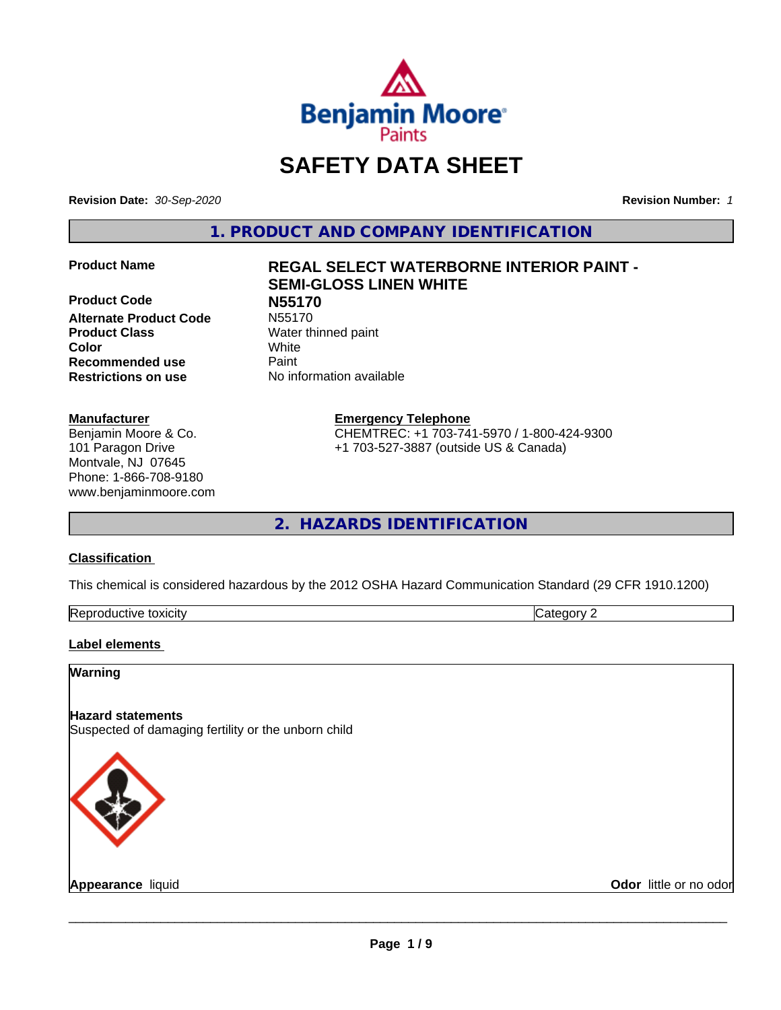

# **SAFETY DATA SHEET**

**Revision Date:** *30-Sep-2020* **Revision Number:** *1*

**1. PRODUCT AND COMPANY IDENTIFICATION**

**Product Code N55170 Alternate Product Code** N55170 **Product Class** Water thinned paint **Color** White **Recommended use Caint Restrictions on use** No information available

# **Manufacturer**

Benjamin Moore & Co. 101 Paragon Drive Montvale, NJ 07645 Phone: 1-866-708-9180 www.benjaminmoore.com

# **Product Name REGAL SELECT WATERBORNE INTERIOR PAINT - SEMI-GLOSS LINEN WHITE**

**Emergency Telephone**

CHEMTREC: +1 703-741-5970 / 1-800-424-9300 +1 703-527-3887 (outside US & Canada)

**2. HAZARDS IDENTIFICATION**

# **Classification**

This chemical is considered hazardous by the 2012 OSHA Hazard Communication Standard (29 CFR 1910.1200)

| -<br>Repr<br>toxicity | - - -<br>. זרי<br>.<br> |
|-----------------------|-------------------------|

# **Label elements**

# **Warning**

# **Hazard statements**

Suspected of damaging fertility or the unborn child



**Appearance** liquid **Contract Contract Contract Contract Contract Contract Contract Contract Contract Contract Contract Contract Contract Contract Contract Contract Contract Contract Contract Contract Contract Contract Con**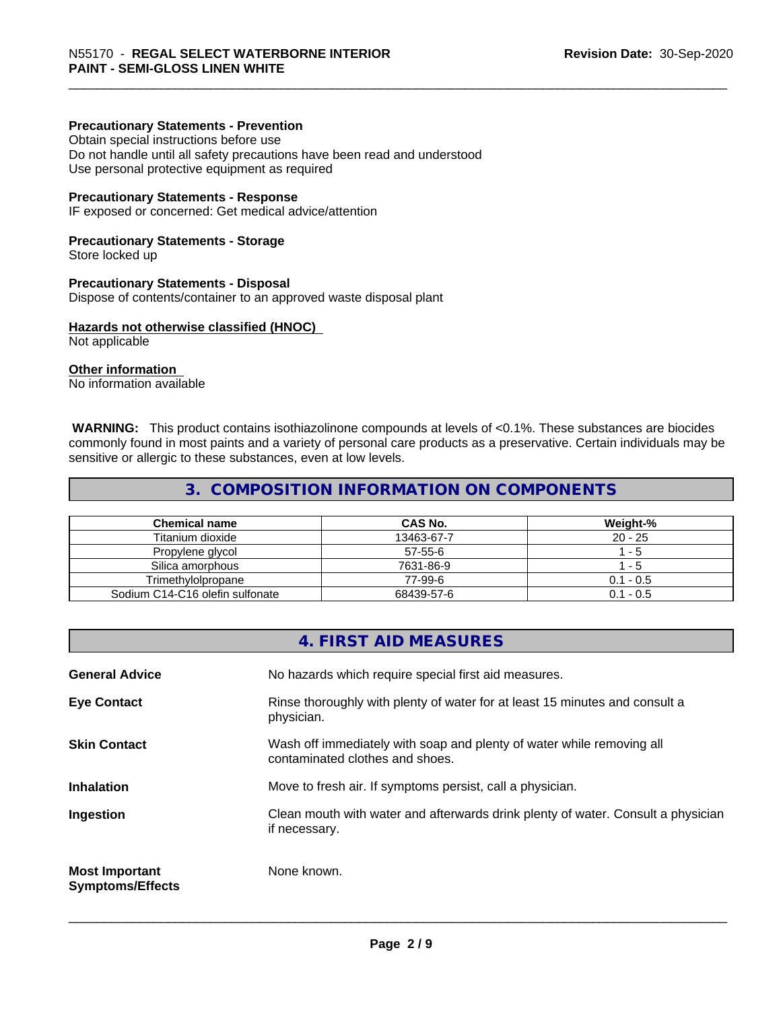# **Precautionary Statements - Prevention**

Obtain special instructions before use Do not handle until all safety precautions have been read and understood Use personal protective equipment as required

#### **Precautionary Statements - Response**

IF exposed or concerned: Get medical advice/attention

#### **Precautionary Statements - Storage**

Store locked up

#### **Precautionary Statements - Disposal**

Dispose of contents/container to an approved waste disposal plant

#### **Hazards not otherwise classified (HNOC)**

Not applicable

# **Other information**

No information available

 **WARNING:** This product contains isothiazolinone compounds at levels of <0.1%. These substances are biocides commonly found in most paints and a variety of personal care products as a preservative. Certain individuals may be sensitive or allergic to these substances, even at low levels.

# **3. COMPOSITION INFORMATION ON COMPONENTS**

| <b>Chemical name</b>            | CAS No.    | Weight-%    |
|---------------------------------|------------|-------------|
| Titanium dioxide                | 13463-67-7 | $20 - 25$   |
| Propylene glycol                | 57-55-6    | - 5         |
| Silica amorphous                | 7631-86-9  | - 5         |
| Trimethvlolpropane              | 77-99-6    | $0.1 - 0.5$ |
| Sodium C14-C16 olefin sulfonate | 68439-57-6 | $0.1 - 0.5$ |

# **4. FIRST AID MEASURES**

| <b>General Advice</b>                            | No hazards which require special first aid measures.                                                     |
|--------------------------------------------------|----------------------------------------------------------------------------------------------------------|
| <b>Eye Contact</b>                               | Rinse thoroughly with plenty of water for at least 15 minutes and consult a<br>physician.                |
| <b>Skin Contact</b>                              | Wash off immediately with soap and plenty of water while removing all<br>contaminated clothes and shoes. |
| <b>Inhalation</b>                                | Move to fresh air. If symptoms persist, call a physician.                                                |
| Ingestion                                        | Clean mouth with water and afterwards drink plenty of water. Consult a physician<br>if necessary.        |
| <b>Most Important</b><br><b>Symptoms/Effects</b> | None known.                                                                                              |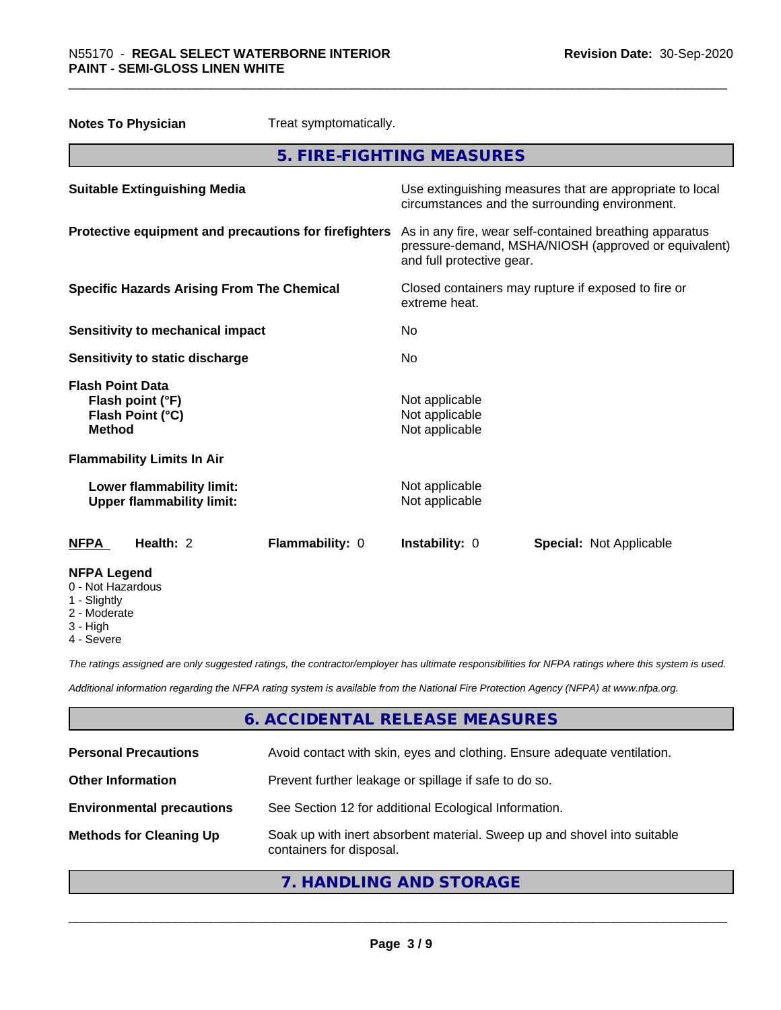| Treat symptomatically.<br><b>Notes To Physician</b>                              |                                                                                                                                              |
|----------------------------------------------------------------------------------|----------------------------------------------------------------------------------------------------------------------------------------------|
|                                                                                  | 5. FIRE-FIGHTING MEASURES                                                                                                                    |
| <b>Suitable Extinguishing Media</b>                                              | Use extinguishing measures that are appropriate to local<br>circumstances and the surrounding environment.                                   |
| Protective equipment and precautions for firefighters                            | As in any fire, wear self-contained breathing apparatus<br>pressure-demand, MSHA/NIOSH (approved or equivalent)<br>and full protective gear. |
| <b>Specific Hazards Arising From The Chemical</b>                                | Closed containers may rupture if exposed to fire or<br>extreme heat.                                                                         |
| <b>Sensitivity to mechanical impact</b>                                          | No                                                                                                                                           |
| Sensitivity to static discharge                                                  | No                                                                                                                                           |
| <b>Flash Point Data</b><br>Flash point (°F)<br>Flash Point (°C)<br><b>Method</b> | Not applicable<br>Not applicable<br>Not applicable                                                                                           |
| <b>Flammability Limits In Air</b>                                                |                                                                                                                                              |
| Lower flammability limit:<br><b>Upper flammability limit:</b>                    | Not applicable<br>Not applicable                                                                                                             |
| Health: 2<br>Flammability: 0<br><b>NFPA</b>                                      | Instability: 0<br><b>Special: Not Applicable</b>                                                                                             |
| <b>NFPA Legend</b><br>0 - Not Hazardous<br>1 - Slightly<br>2 - Moderate          |                                                                                                                                              |

- 2 Moderate
- 3 High
- 4 Severe

*The ratings assigned are only suggested ratings, the contractor/employer has ultimate responsibilities for NFPA ratings where this system is used.*

*Additional information regarding the NFPA rating system is available from the National Fire Protection Agency (NFPA) at www.nfpa.org.*

# **6. ACCIDENTAL RELEASE MEASURES**

| <b>Personal Precautions</b>      | Avoid contact with skin, eyes and clothing. Ensure adequate ventilation.                             |
|----------------------------------|------------------------------------------------------------------------------------------------------|
| <b>Other Information</b>         | Prevent further leakage or spillage if safe to do so.                                                |
| <b>Environmental precautions</b> | See Section 12 for additional Ecological Information.                                                |
| <b>Methods for Cleaning Up</b>   | Soak up with inert absorbent material. Sweep up and shovel into suitable<br>containers for disposal. |

# **7. HANDLING AND STORAGE**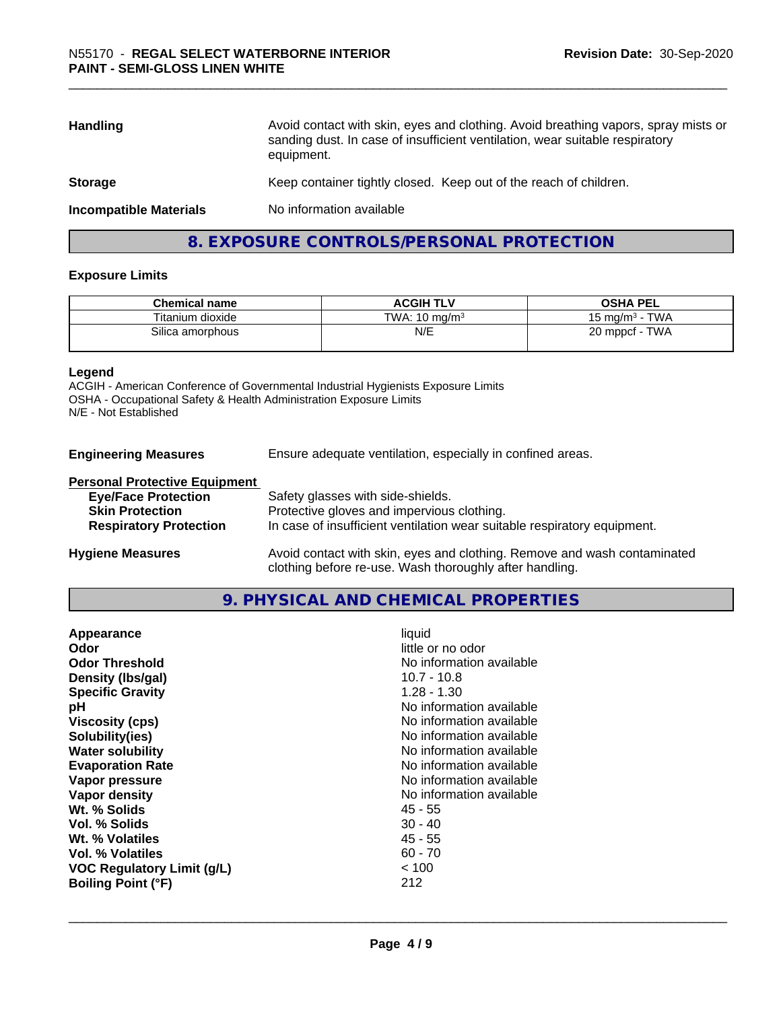| <b>Handling</b>               | Avoid contact with skin, eyes and clothing. Avoid breathing vapors, spray mists or<br>sanding dust. In case of insufficient ventilation, wear suitable respiratory<br>equipment. |
|-------------------------------|----------------------------------------------------------------------------------------------------------------------------------------------------------------------------------|
| <b>Storage</b>                | Keep container tightly closed. Keep out of the reach of children.                                                                                                                |
| <b>Incompatible Materials</b> | No information available                                                                                                                                                         |
|                               |                                                                                                                                                                                  |

# **8. EXPOSURE CONTROLS/PERSONAL PROTECTION**

# **Exposure Limits**

| <b>Chemical name</b> | <b>ACGIH TLV</b>         | <b>OSHA PEL</b>                            |
|----------------------|--------------------------|--------------------------------------------|
| Titanium dioxide     | TWA: $10 \text{ ma/m}^3$ | <b>TWA</b><br>15 mg/m <sup>3</sup> $\cdot$ |
| Silica amorphous     | N/E                      | <b>TWA</b><br>$20$ mppcf -                 |

#### **Legend**

ACGIH - American Conference of Governmental Industrial Hygienists Exposure Limits OSHA - Occupational Safety & Health Administration Exposure Limits N/E - Not Established

| <b>Engineering Measures</b> | Ensure adequate ventilation, especially in confined areas. |
|-----------------------------|------------------------------------------------------------|
|-----------------------------|------------------------------------------------------------|

#### **Personal Protective Equipment**

| <b>Eye/Face Protection</b>    | Safety glasses with side-shields.                                        |
|-------------------------------|--------------------------------------------------------------------------|
| <b>Skin Protection</b>        | Protective gloves and impervious clothing.                               |
| <b>Respiratory Protection</b> | In case of insufficient ventilation wear suitable respiratory equipment. |
| <b>Hygiene Measures</b>       | Avoid contact with skin, eyes and clothing. Remove and wash contaminated |

# **9. PHYSICAL AND CHEMICAL PROPERTIES**

clothing before re-use. Wash thoroughly after handling.

| Appearance<br>Odor<br><b>Odor Threshold</b><br>Density (Ibs/gal)<br><b>Specific Gravity</b><br>рH<br><b>Viscosity (cps)</b><br>Solubility(ies)<br><b>Water solubility</b><br><b>Evaporation Rate</b><br>Vapor pressure<br>Vapor density<br>Wt. % Solids<br>Vol. % Solids<br>Wt. % Volatiles<br>Vol. % Volatiles<br><b>VOC Regulatory Limit (g/L)</b> | liquid<br>little or no odor<br>No information available<br>$10.7 - 10.8$<br>$1.28 - 1.30$<br>No information available<br>No information available<br>No information available<br>No information available<br>No information available<br>No information available<br>No information available<br>$45 - 55$<br>$30 - 40$<br>45 - 55<br>$60 - 70$<br>< 100 |  |
|------------------------------------------------------------------------------------------------------------------------------------------------------------------------------------------------------------------------------------------------------------------------------------------------------------------------------------------------------|----------------------------------------------------------------------------------------------------------------------------------------------------------------------------------------------------------------------------------------------------------------------------------------------------------------------------------------------------------|--|
| <b>Boiling Point (°F)</b>                                                                                                                                                                                                                                                                                                                            | 212                                                                                                                                                                                                                                                                                                                                                      |  |
|                                                                                                                                                                                                                                                                                                                                                      |                                                                                                                                                                                                                                                                                                                                                          |  |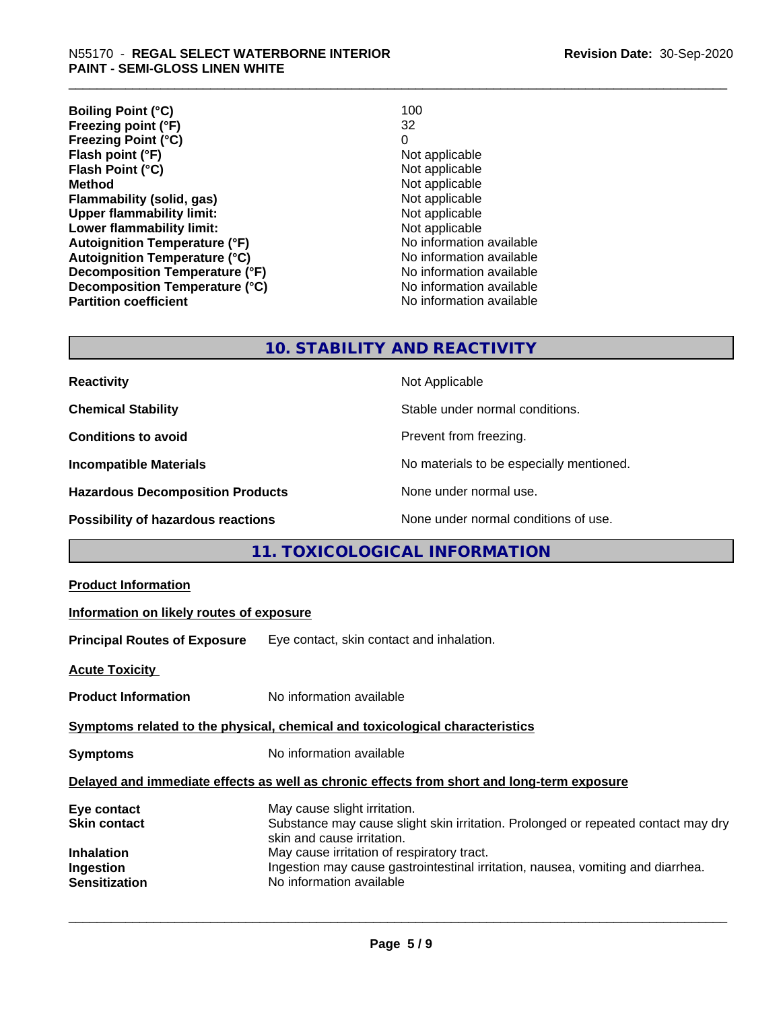| <b>Boiling Point (°C)</b>            | 100                      |
|--------------------------------------|--------------------------|
| Freezing point (°F)                  | 32                       |
| <b>Freezing Point (°C)</b>           | 0                        |
| Flash point (°F)                     | Not applicable           |
| Flash Point (°C)                     | Not applicable           |
| <b>Method</b>                        | Not applicable           |
| Flammability (solid, gas)            | Not applicable           |
| <b>Upper flammability limit:</b>     | Not applicable           |
| Lower flammability limit:            | Not applicable           |
| <b>Autoignition Temperature (°F)</b> | No information available |
| <b>Autoignition Temperature (°C)</b> | No information available |
| Decomposition Temperature (°F)       | No information available |
| Decomposition Temperature (°C)       | No information available |
| <b>Partition coefficient</b>         | No information available |

# **10. STABILITY AND REACTIVITY**

| <b>Reactivity</b>                         | Not Applicable                           |
|-------------------------------------------|------------------------------------------|
| <b>Chemical Stability</b>                 | Stable under normal conditions.          |
| <b>Conditions to avoid</b>                | Prevent from freezing.                   |
| <b>Incompatible Materials</b>             | No materials to be especially mentioned. |
| <b>Hazardous Decomposition Products</b>   | None under normal use.                   |
| <b>Possibility of hazardous reactions</b> | None under normal conditions of use.     |

# **11. TOXICOLOGICAL INFORMATION**

| <b>Product Information</b>                                                                   |                                                                                                                                                                                                                                                                                                              |  |  |
|----------------------------------------------------------------------------------------------|--------------------------------------------------------------------------------------------------------------------------------------------------------------------------------------------------------------------------------------------------------------------------------------------------------------|--|--|
| Information on likely routes of exposure                                                     |                                                                                                                                                                                                                                                                                                              |  |  |
| <b>Principal Routes of Exposure</b>                                                          | Eye contact, skin contact and inhalation.                                                                                                                                                                                                                                                                    |  |  |
| <b>Acute Toxicity</b>                                                                        |                                                                                                                                                                                                                                                                                                              |  |  |
| <b>Product Information</b>                                                                   | No information available                                                                                                                                                                                                                                                                                     |  |  |
| Symptoms related to the physical, chemical and toxicological characteristics                 |                                                                                                                                                                                                                                                                                                              |  |  |
| <b>Symptoms</b>                                                                              | No information available                                                                                                                                                                                                                                                                                     |  |  |
| Delayed and immediate effects as well as chronic effects from short and long-term exposure   |                                                                                                                                                                                                                                                                                                              |  |  |
| Eye contact<br><b>Skin contact</b><br><b>Inhalation</b><br>Ingestion<br><b>Sensitization</b> | May cause slight irritation.<br>Substance may cause slight skin irritation. Prolonged or repeated contact may dry<br>skin and cause irritation.<br>May cause irritation of respiratory tract.<br>Ingestion may cause gastrointestinal irritation, nausea, vomiting and diarrhea.<br>No information available |  |  |
|                                                                                              |                                                                                                                                                                                                                                                                                                              |  |  |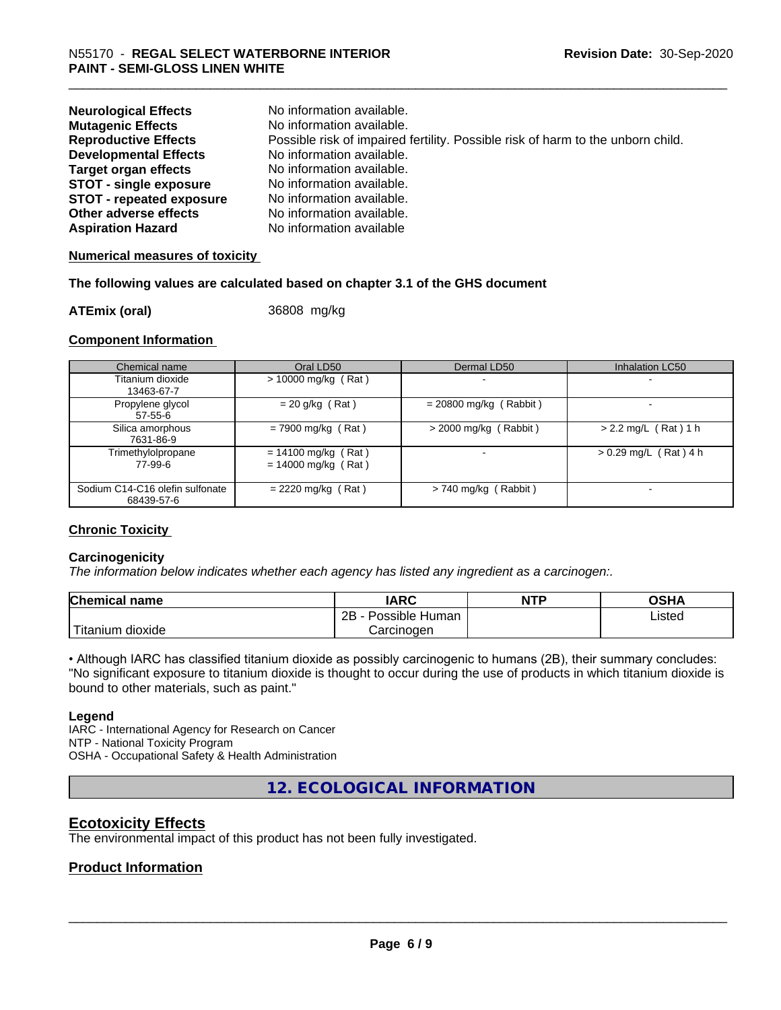| <b>Neurological Effects</b>     | No information available.                                                       |
|---------------------------------|---------------------------------------------------------------------------------|
| <b>Mutagenic Effects</b>        | No information available.                                                       |
| <b>Reproductive Effects</b>     | Possible risk of impaired fertility. Possible risk of harm to the unborn child. |
| <b>Developmental Effects</b>    | No information available.                                                       |
| <b>Target organ effects</b>     | No information available.                                                       |
| <b>STOT - single exposure</b>   | No information available.                                                       |
| <b>STOT - repeated exposure</b> | No information available.                                                       |
| Other adverse effects           | No information available.                                                       |
| <b>Aspiration Hazard</b>        | No information available                                                        |

# **Numerical measures of toxicity**

# **The following values are calculated based on chapter 3.1 of the GHS document**

**ATEmix (oral)** 36808 mg/kg

# **Component Information**

| Chemical name                                 | Oral LD50                                      | Dermal LD50              | Inhalation LC50         |
|-----------------------------------------------|------------------------------------------------|--------------------------|-------------------------|
| Titanium dioxide<br>13463-67-7                | $> 10000$ mg/kg (Rat)                          |                          |                         |
| Propylene glycol<br>57-55-6                   | $= 20$ g/kg (Rat)                              | $= 20800$ mg/kg (Rabbit) |                         |
| Silica amorphous<br>7631-86-9                 | $= 7900$ mg/kg (Rat)                           | $>$ 2000 mg/kg (Rabbit)  | $> 2.2$ mg/L (Rat) 1 h  |
| Trimethylolpropane<br>77-99-6                 | $= 14100$ mg/kg (Rat)<br>$= 14000$ mg/kg (Rat) |                          | $> 0.29$ mg/L (Rat) 4 h |
| Sodium C14-C16 olefin sulfonate<br>68439-57-6 | $= 2220$ mg/kg (Rat)                           | $> 740$ mg/kg (Rabbit)   |                         |

# **Chronic Toxicity**

# **Carcinogenicity**

*The information below indicateswhether each agency has listed any ingredient as a carcinogen:.*

| <b>Chemical name</b>   | <b>IARC</b>                    | <b>NTP</b> | <b>OSHA</b> |
|------------------------|--------------------------------|------------|-------------|
|                        | .<br>2B<br>Possible<br>Human - |            | Listed<br>. |
| m dioxide<br>l itanıum | Carcinoɑen                     |            |             |

• Although IARC has classified titanium dioxide as possibly carcinogenic to humans (2B), their summary concludes: "No significant exposure to titanium dioxide is thought to occur during the use of products in which titanium dioxide is bound to other materials, such as paint."

# **Legend**

IARC - International Agency for Research on Cancer NTP - National Toxicity Program OSHA - Occupational Safety & Health Administration

**12. ECOLOGICAL INFORMATION**

# **Ecotoxicity Effects**

The environmental impact of this product has not been fully investigated.

# **Product Information**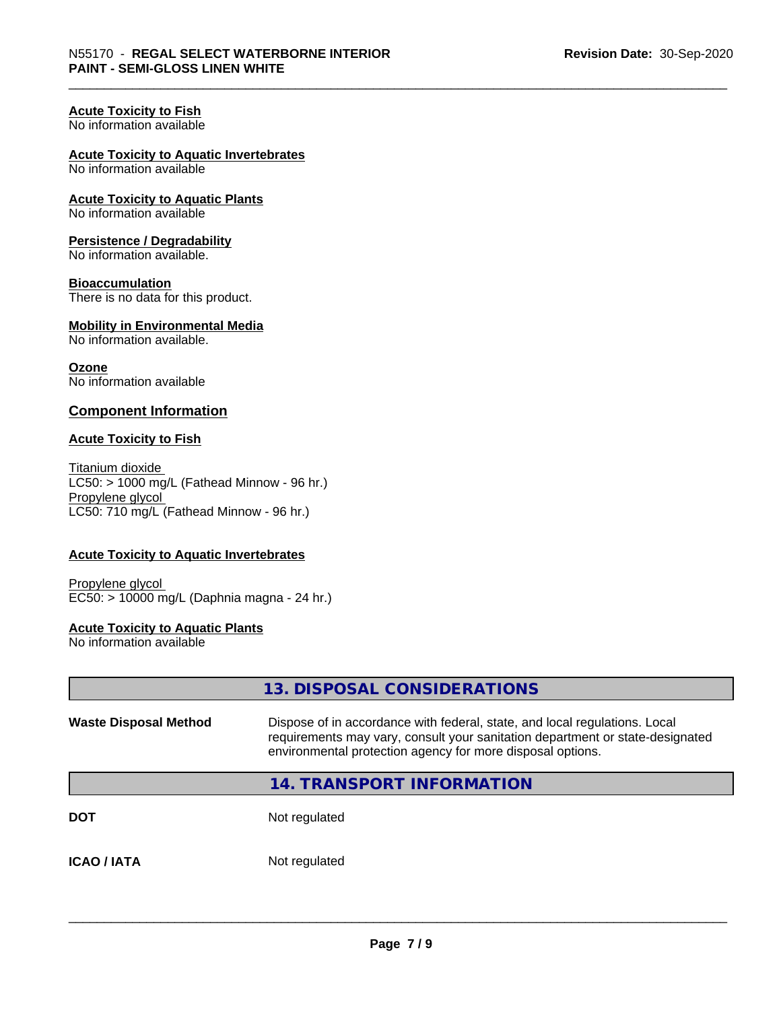# **Acute Toxicity to Fish**

No information available

# **Acute Toxicity to Aquatic Invertebrates**

No information available

**Acute Toxicity to Aquatic Plants** No information available

# **Persistence / Degradability**

No information available.

# **Bioaccumulation**

There is no data for this product.

#### **Mobility in Environmental Media** No information available.

**Ozone** No information available

# **Component Information**

# **Acute Toxicity to Fish**

Titanium dioxide  $LC50:$  > 1000 mg/L (Fathead Minnow - 96 hr.) Propylene glycol LC50: 710 mg/L (Fathead Minnow - 96 hr.)

# **Acute Toxicity to Aquatic Invertebrates**

Propylene glycol EC50: > 10000 mg/L (Daphnia magna - 24 hr.)

# **Acute Toxicity to Aquatic Plants**

No information available

|                              | 13. DISPOSAL CONSIDERATIONS                                                                                                                                                                                               |
|------------------------------|---------------------------------------------------------------------------------------------------------------------------------------------------------------------------------------------------------------------------|
| <b>Waste Disposal Method</b> | Dispose of in accordance with federal, state, and local regulations. Local<br>requirements may vary, consult your sanitation department or state-designated<br>environmental protection agency for more disposal options. |
|                              | <b>14. TRANSPORT INFORMATION</b>                                                                                                                                                                                          |
| <b>DOT</b>                   | Not regulated                                                                                                                                                                                                             |
| <b>ICAO / IATA</b>           | Not regulated                                                                                                                                                                                                             |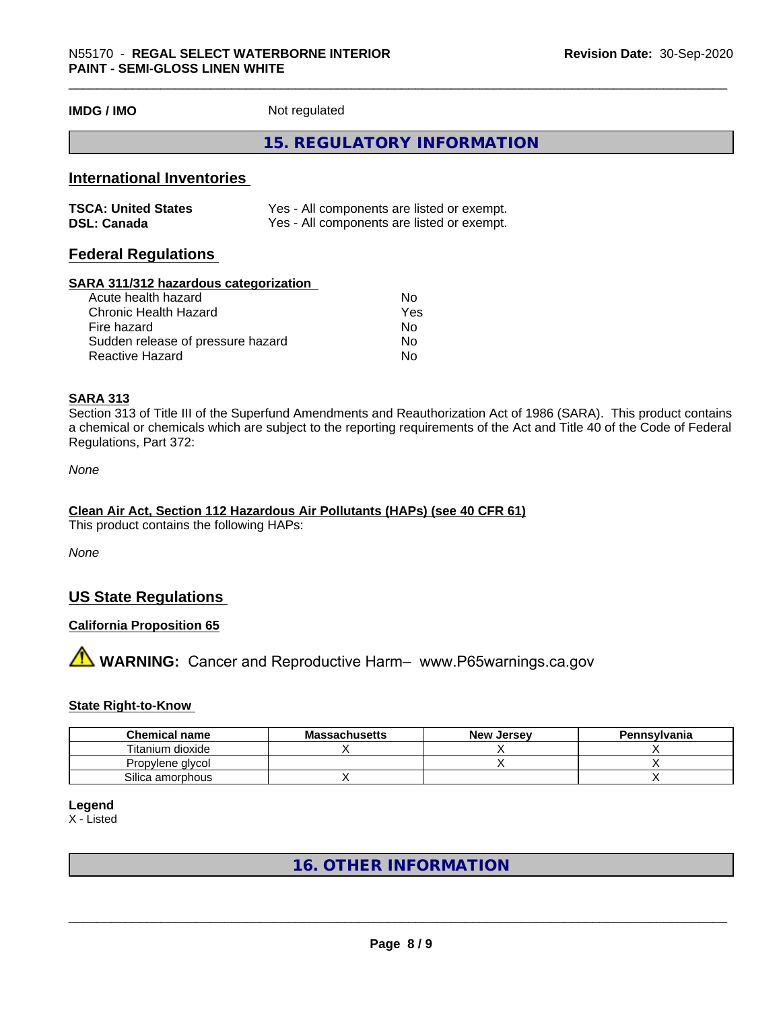**IMDG / IMO** Not regulated

# **15. REGULATORY INFORMATION**

# **International Inventories**

| <b>TSCA: United States</b> | Yes - All components are listed or exempt. |
|----------------------------|--------------------------------------------|
| <b>DSL: Canada</b>         | Yes - All components are listed or exempt. |

# **Federal Regulations**

#### **SARA 311/312 hazardous categorization**

| Acute health hazard               | No  |
|-----------------------------------|-----|
| Chronic Health Hazard             | Yes |
| Fire hazard                       | N٥  |
| Sudden release of pressure hazard | Nο  |
| Reactive Hazard                   | N٥  |

# **SARA 313**

Section 313 of Title III of the Superfund Amendments and Reauthorization Act of 1986 (SARA). This product contains a chemical or chemicals which are subject to the reporting requirements of the Act and Title 40 of the Code of Federal Regulations, Part 372:

*None*

# **Clean Air Act,Section 112 Hazardous Air Pollutants (HAPs) (see 40 CFR 61)**

This product contains the following HAPs:

*None*

# **US State Regulations**

# **California Proposition 65**

# **AVIMARNING:** Cancer and Reproductive Harm– www.P65warnings.ca.gov

# **State Right-to-Know**

| <b>Chemical name</b> | <b>Massachusetts</b> | <b>New Jersey</b> | Pennsylvania |
|----------------------|----------------------|-------------------|--------------|
| Titanium dioxide     |                      |                   |              |
| Propylene glycol     |                      |                   |              |
| Silica amorphous     |                      |                   |              |

# **Legend**

X - Listed

# **16. OTHER INFORMATION**